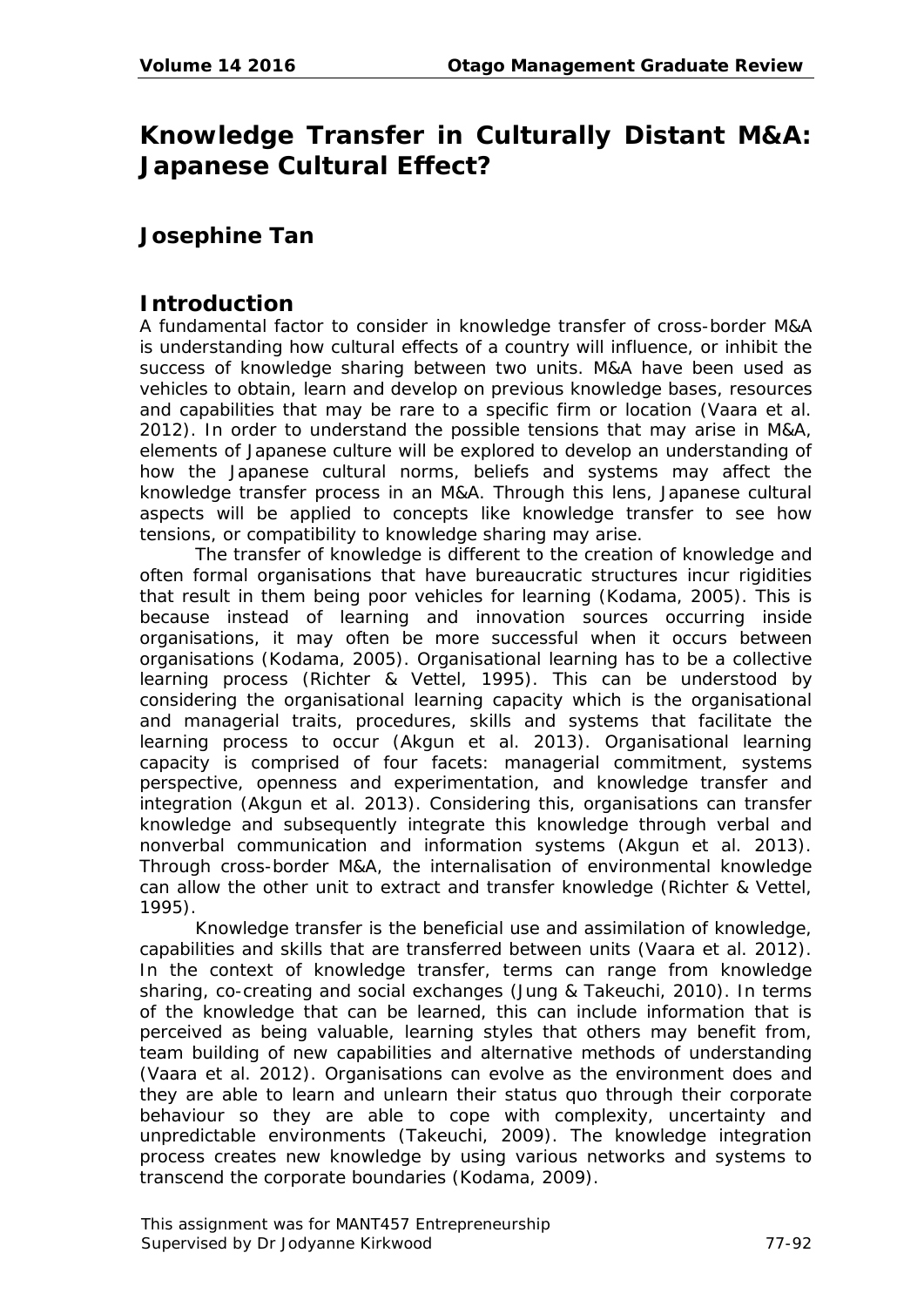# **Knowledge Transfer in Culturally Distant M&A: Japanese Cultural Effect?**

# **Josephine Tan**

#### **Introduction**

A fundamental factor to consider in knowledge transfer of cross-border M&A is understanding how cultural effects of a country will influence, or inhibit the success of knowledge sharing between two units. M&A have been used as vehicles to obtain, learn and develop on previous knowledge bases, resources and capabilities that may be rare to a specific firm or location (Vaara et al. 2012). In order to understand the possible tensions that may arise in M&A, elements of Japanese culture will be explored to develop an understanding of how the Japanese cultural norms, beliefs and systems may affect the knowledge transfer process in an M&A. Through this lens, Japanese cultural aspects will be applied to concepts like knowledge transfer to see how tensions, or compatibility to knowledge sharing may arise.

The transfer of knowledge is different to the creation of knowledge and often formal organisations that have bureaucratic structures incur rigidities that result in them being poor vehicles for learning (Kodama, 2005). This is because instead of learning and innovation sources occurring inside organisations, it may often be more successful when it occurs between organisations (Kodama, 2005). Organisational learning has to be a collective learning process (Richter & Vettel, 1995). This can be understood by considering the organisational learning capacity which is the organisational and managerial traits, procedures, skills and systems that facilitate the learning process to occur (Akgun et al. 2013). Organisational learning capacity is comprised of four facets: managerial commitment, systems perspective, openness and experimentation, and knowledge transfer and integration (Akgun et al. 2013). Considering this, organisations can transfer knowledge and subsequently integrate this knowledge through verbal and nonverbal communication and information systems (Akgun et al. 2013). Through cross-border M&A, the internalisation of environmental knowledge can allow the other unit to extract and transfer knowledge (Richter & Vettel, 1995).

Knowledge transfer is the beneficial use and assimilation of knowledge, capabilities and skills that are transferred between units (Vaara et al. 2012). In the context of knowledge transfer, terms can range from knowledge sharing, co-creating and social exchanges (Jung & Takeuchi, 2010). In terms of the knowledge that can be learned, this can include information that is perceived as being valuable, learning styles that others may benefit from, team building of new capabilities and alternative methods of understanding (Vaara et al. 2012). Organisations can evolve as the environment does and they are able to learn and unlearn their status quo through their corporate behaviour so they are able to cope with complexity, uncertainty and unpredictable environments (Takeuchi, 2009). The knowledge integration process creates new knowledge by using various networks and systems to transcend the corporate boundaries (Kodama, 2009).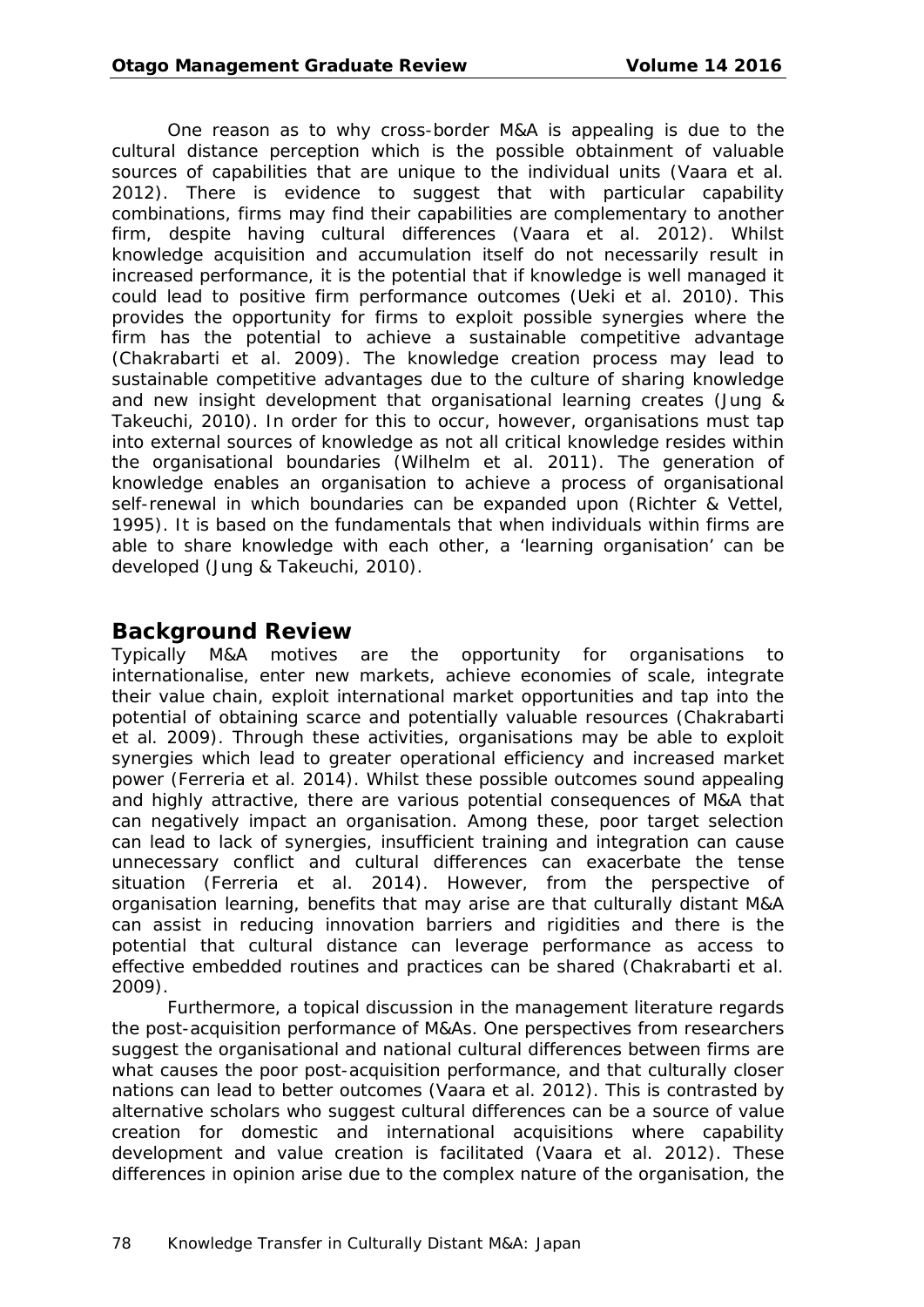One reason as to why cross-border M&A is appealing is due to the cultural distance perception which is the possible obtainment of valuable sources of capabilities that are unique to the individual units (Vaara et al. 2012). There is evidence to suggest that with particular capability combinations, firms may find their capabilities are complementary to another firm, despite having cultural differences (Vaara et al. 2012). Whilst knowledge acquisition and accumulation itself do not necessarily result in increased performance, it is the potential that if knowledge is well managed it could lead to positive firm performance outcomes (Ueki et al. 2010). This provides the opportunity for firms to exploit possible synergies where the firm has the potential to achieve a sustainable competitive advantage (Chakrabarti et al. 2009). The knowledge creation process may lead to sustainable competitive advantages due to the culture of sharing knowledge and new insight development that organisational learning creates (Jung & Takeuchi, 2010). In order for this to occur, however, organisations must tap into external sources of knowledge as not all critical knowledge resides within the organisational boundaries (Wilhelm et al. 2011). The generation of knowledge enables an organisation to achieve a process of organisational self-renewal in which boundaries can be expanded upon (Richter & Vettel, 1995). It is based on the fundamentals that when individuals within firms are able to share knowledge with each other, a 'learning organisation' can be developed (Jung & Takeuchi, 2010).

### **Background Review**

Typically M&A motives are the opportunity for organisations to internationalise, enter new markets, achieve economies of scale, integrate their value chain, exploit international market opportunities and tap into the potential of obtaining scarce and potentially valuable resources (Chakrabarti et al. 2009). Through these activities, organisations may be able to exploit synergies which lead to greater operational efficiency and increased market power (Ferreria et al. 2014). Whilst these possible outcomes sound appealing and highly attractive, there are various potential consequences of M&A that can negatively impact an organisation. Among these, poor target selection can lead to lack of synergies, insufficient training and integration can cause unnecessary conflict and cultural differences can exacerbate the tense situation (Ferreria et al. 2014). However, from the perspective of organisation learning, benefits that may arise are that culturally distant M&A can assist in reducing innovation barriers and rigidities and there is the potential that cultural distance can leverage performance as access to effective embedded routines and practices can be shared (Chakrabarti et al. 2009).

Furthermore, a topical discussion in the management literature regards the post-acquisition performance of M&As. One perspectives from researchers suggest the organisational and national cultural differences between firms are what causes the poor post-acquisition performance, and that culturally closer nations can lead to better outcomes (Vaara et al. 2012). This is contrasted by alternative scholars who suggest cultural differences can be a source of value creation for domestic and international acquisitions where capability development and value creation is facilitated (Vaara et al. 2012). These differences in opinion arise due to the complex nature of the organisation, the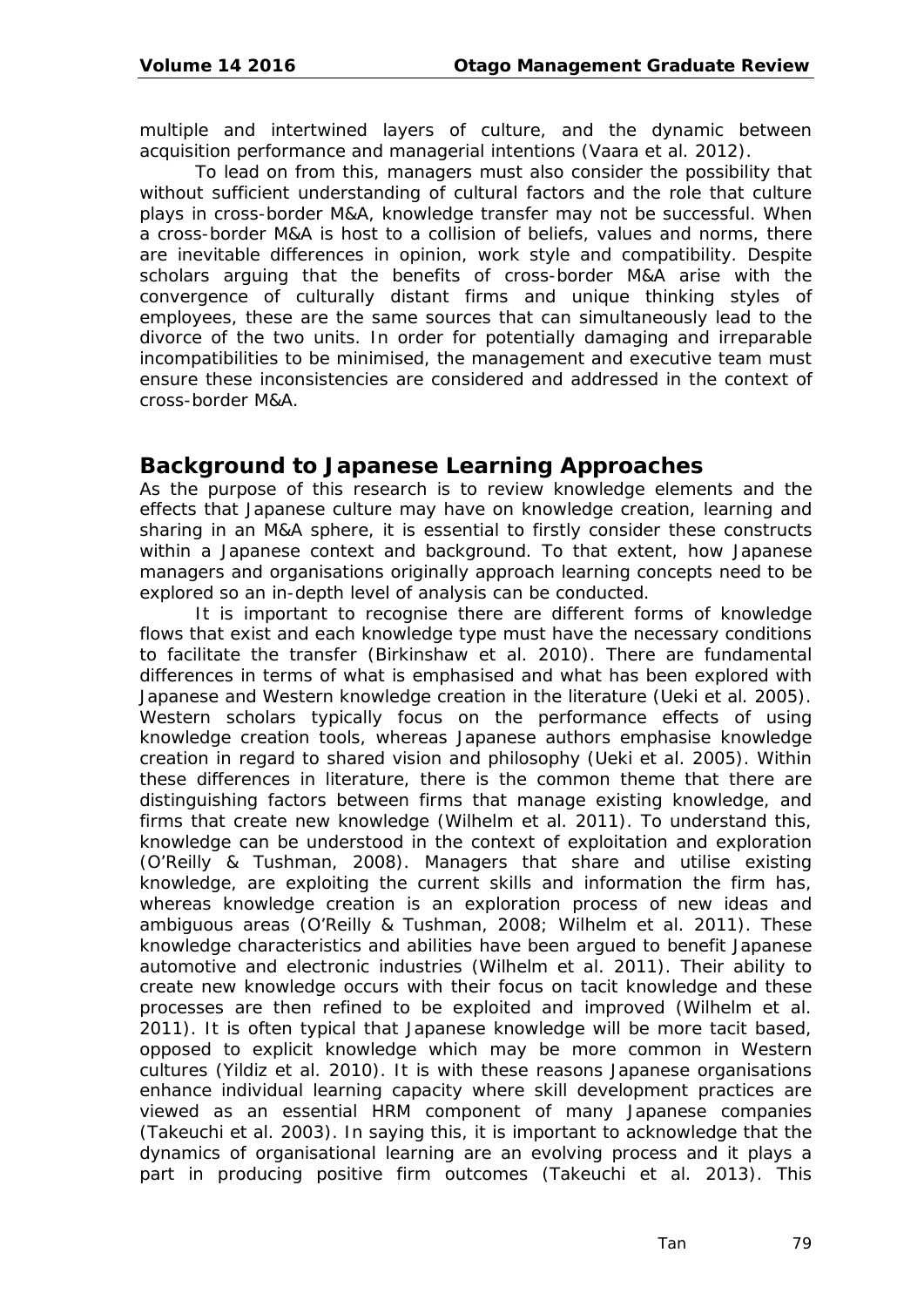multiple and intertwined layers of culture, and the dynamic between acquisition performance and managerial intentions (Vaara et al. 2012).

To lead on from this, managers must also consider the possibility that without sufficient understanding of cultural factors and the role that culture plays in cross-border M&A, knowledge transfer may not be successful. When a cross-border M&A is host to a collision of beliefs, values and norms, there are inevitable differences in opinion, work style and compatibility. Despite scholars arguing that the benefits of cross-border M&A arise with the convergence of culturally distant firms and unique thinking styles of employees, these are the same sources that can simultaneously lead to the divorce of the two units. In order for potentially damaging and irreparable incompatibilities to be minimised, the management and executive team must ensure these inconsistencies are considered and addressed in the context of cross-border M&A.

#### **Background to Japanese Learning Approaches**

As the purpose of this research is to review knowledge elements and the effects that Japanese culture may have on knowledge creation, learning and sharing in an M&A sphere, it is essential to firstly consider these constructs within a Japanese context and background. To that extent, how Japanese managers and organisations originally approach learning concepts need to be explored so an in-depth level of analysis can be conducted.

It is important to recognise there are different forms of knowledge flows that exist and each knowledge type must have the necessary conditions to facilitate the transfer (Birkinshaw et al. 2010). There are fundamental differences in terms of what is emphasised and what has been explored with Japanese and Western knowledge creation in the literature (Ueki et al. 2005). Western scholars typically focus on the performance effects of using knowledge creation tools, whereas Japanese authors emphasise knowledge creation in regard to shared vision and philosophy (Ueki et al. 2005). Within these differences in literature, there is the common theme that there are distinguishing factors between firms that manage existing knowledge, and firms that create new knowledge (Wilhelm et al. 2011). To understand this, knowledge can be understood in the context of exploitation and exploration (O'Reilly & Tushman, 2008). Managers that share and utilise existing knowledge, are exploiting the current skills and information the firm has, whereas knowledge creation is an exploration process of new ideas and ambiguous areas (O'Reilly & Tushman, 2008; Wilhelm et al. 2011). These knowledge characteristics and abilities have been argued to benefit Japanese automotive and electronic industries (Wilhelm et al. 2011). Their ability to create new knowledge occurs with their focus on tacit knowledge and these processes are then refined to be exploited and improved (Wilhelm et al. 2011). It is often typical that Japanese knowledge will be more tacit based, opposed to explicit knowledge which may be more common in Western cultures (Yildiz et al. 2010). It is with these reasons Japanese organisations enhance individual learning capacity where skill development practices are viewed as an essential HRM component of many Japanese companies (Takeuchi et al. 2003). In saying this, it is important to acknowledge that the dynamics of organisational learning are an evolving process and it plays a part in producing positive firm outcomes (Takeuchi et al. 2013). This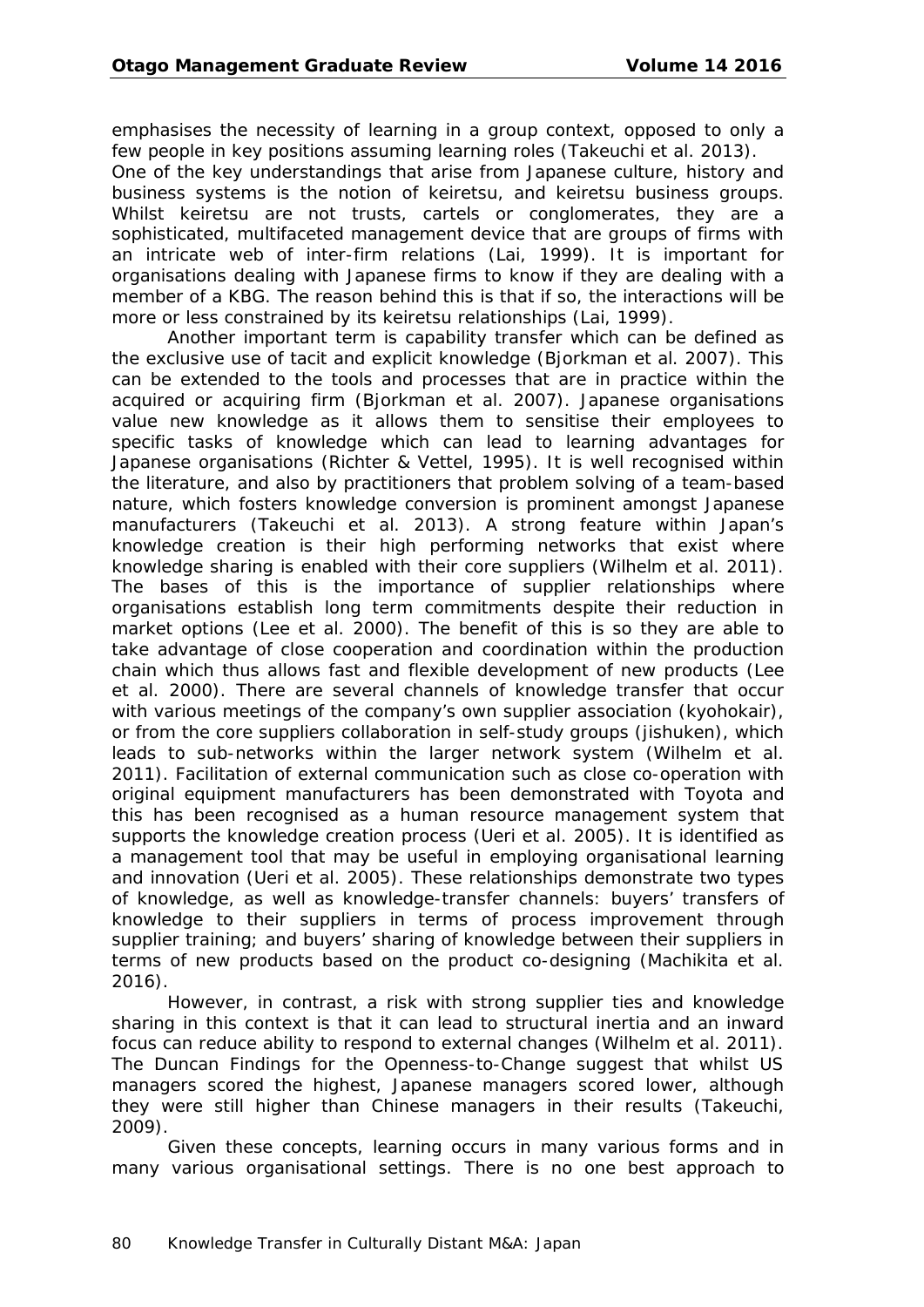emphasises the necessity of learning in a group context, opposed to only a few people in key positions assuming learning roles (Takeuchi et al. 2013).

One of the key understandings that arise from Japanese culture, history and business systems is the notion of keiretsu, and keiretsu business groups. Whilst keiretsu are not trusts, cartels or conglomerates, they are a sophisticated, multifaceted management device that are groups of firms with an intricate web of inter-firm relations (Lai, 1999). It is important for organisations dealing with Japanese firms to know if they are dealing with a member of a KBG. The reason behind this is that if so, the interactions will be more or less constrained by its keiretsu relationships (Lai, 1999).

Another important term is capability transfer which can be defined as the exclusive use of tacit and explicit knowledge (Bjorkman et al. 2007). This can be extended to the tools and processes that are in practice within the acquired or acquiring firm (Bjorkman et al. 2007). Japanese organisations value new knowledge as it allows them to sensitise their employees to specific tasks of knowledge which can lead to learning advantages for Japanese organisations (Richter & Vettel, 1995). It is well recognised within the literature, and also by practitioners that problem solving of a team-based nature, which fosters knowledge conversion is prominent amongst Japanese manufacturers (Takeuchi et al. 2013). A strong feature within Japan's knowledge creation is their high performing networks that exist where knowledge sharing is enabled with their core suppliers (Wilhelm et al. 2011). The bases of this is the importance of supplier relationships where organisations establish long term commitments despite their reduction in market options (Lee et al. 2000). The benefit of this is so they are able to take advantage of close cooperation and coordination within the production chain which thus allows fast and flexible development of new products (Lee et al. 2000). There are several channels of knowledge transfer that occur with various meetings of the company's own supplier association (kyohokair), or from the core suppliers collaboration in self-study groups (jishuken), which leads to sub-networks within the larger network system (Wilhelm et al. 2011). Facilitation of external communication such as close co-operation with original equipment manufacturers has been demonstrated with Toyota and this has been recognised as a human resource management system that supports the knowledge creation process (Ueri et al. 2005). It is identified as a management tool that may be useful in employing organisational learning and innovation (Ueri et al. 2005). These relationships demonstrate two types of knowledge, as well as knowledge-transfer channels: buyers' transfers of knowledge to their suppliers in terms of process improvement through supplier training; and buyers' sharing of knowledge between their suppliers in terms of new products based on the product co-designing (Machikita et al. 2016).

However, in contrast, a risk with strong supplier ties and knowledge sharing in this context is that it can lead to structural inertia and an inward focus can reduce ability to respond to external changes (Wilhelm et al. 2011). The Duncan Findings for the Openness-to-Change suggest that whilst US managers scored the highest, Japanese managers scored lower, although they were still higher than Chinese managers in their results (Takeuchi, 2009).

Given these concepts, learning occurs in many various forms and in many various organisational settings. There is no one best approach to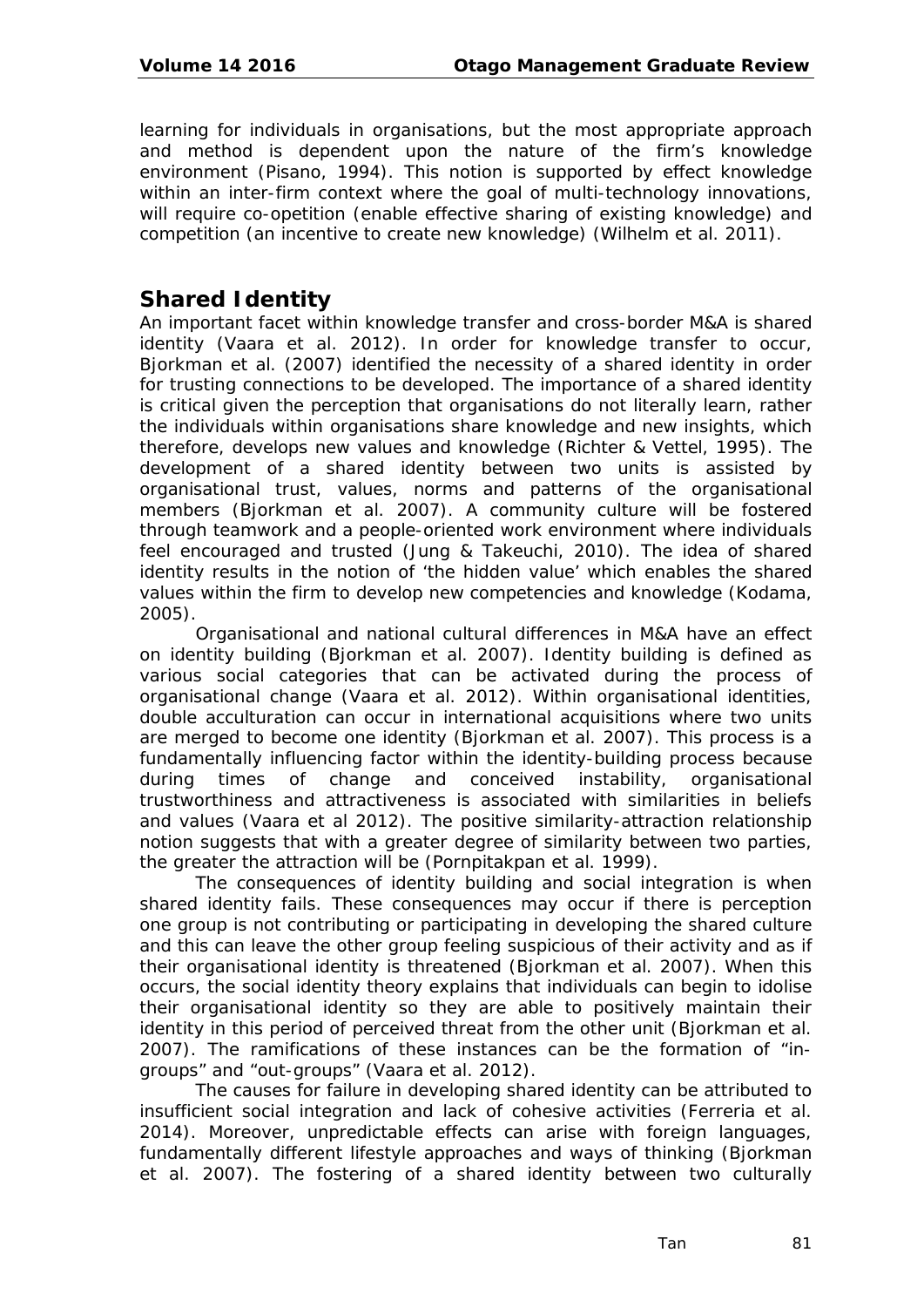learning for individuals in organisations, but the most appropriate approach and method is dependent upon the nature of the firm's knowledge environment (Pisano, 1994). This notion is supported by effect knowledge within an inter-firm context where the goal of multi-technology innovations, will require co-opetition (enable effective sharing of existing knowledge) and competition (an incentive to create new knowledge) (Wilhelm et al. 2011).

### **Shared Identity**

An important facet within knowledge transfer and cross-border M&A is shared identity (Vaara et al. 2012). In order for knowledge transfer to occur, Bjorkman et al. (2007) identified the necessity of a shared identity in order for trusting connections to be developed. The importance of a shared identity is critical given the perception that organisations do not literally learn, rather the individuals within organisations share knowledge and new insights, which therefore, develops new values and knowledge (Richter & Vettel, 1995). The development of a shared identity between two units is assisted by organisational trust, values, norms and patterns of the organisational members (Bjorkman et al. 2007). A community culture will be fostered through teamwork and a people-oriented work environment where individuals feel encouraged and trusted (Jung & Takeuchi, 2010). The idea of shared identity results in the notion of 'the hidden value' which enables the shared values within the firm to develop new competencies and knowledge (Kodama, 2005).

Organisational and national cultural differences in M&A have an effect on identity building (Bjorkman et al. 2007). Identity building is defined as various social categories that can be activated during the process of organisational change (Vaara et al. 2012). Within organisational identities, double acculturation can occur in international acquisitions where two units are merged to become one identity (Bjorkman et al. 2007). This process is a fundamentally influencing factor within the identity-building process because during times of change and conceived instability, organisational trustworthiness and attractiveness is associated with similarities in beliefs and values (Vaara et al 2012). The positive similarity-attraction relationship notion suggests that with a greater degree of similarity between two parties, the greater the attraction will be (Pornpitakpan et al. 1999).

The consequences of identity building and social integration is when shared identity fails. These consequences may occur if there is perception one group is not contributing or participating in developing the shared culture and this can leave the other group feeling suspicious of their activity and as if their organisational identity is threatened (Bjorkman et al. 2007). When this occurs, the social identity theory explains that individuals can begin to idolise their organisational identity so they are able to positively maintain their identity in this period of perceived threat from the other unit (Bjorkman et al. 2007). The ramifications of these instances can be the formation of "ingroups" and "out-groups" (Vaara et al. 2012).

The causes for failure in developing shared identity can be attributed to insufficient social integration and lack of cohesive activities (Ferreria et al. 2014). Moreover, unpredictable effects can arise with foreign languages, fundamentally different lifestyle approaches and ways of thinking (Bjorkman et al. 2007). The fostering of a shared identity between two culturally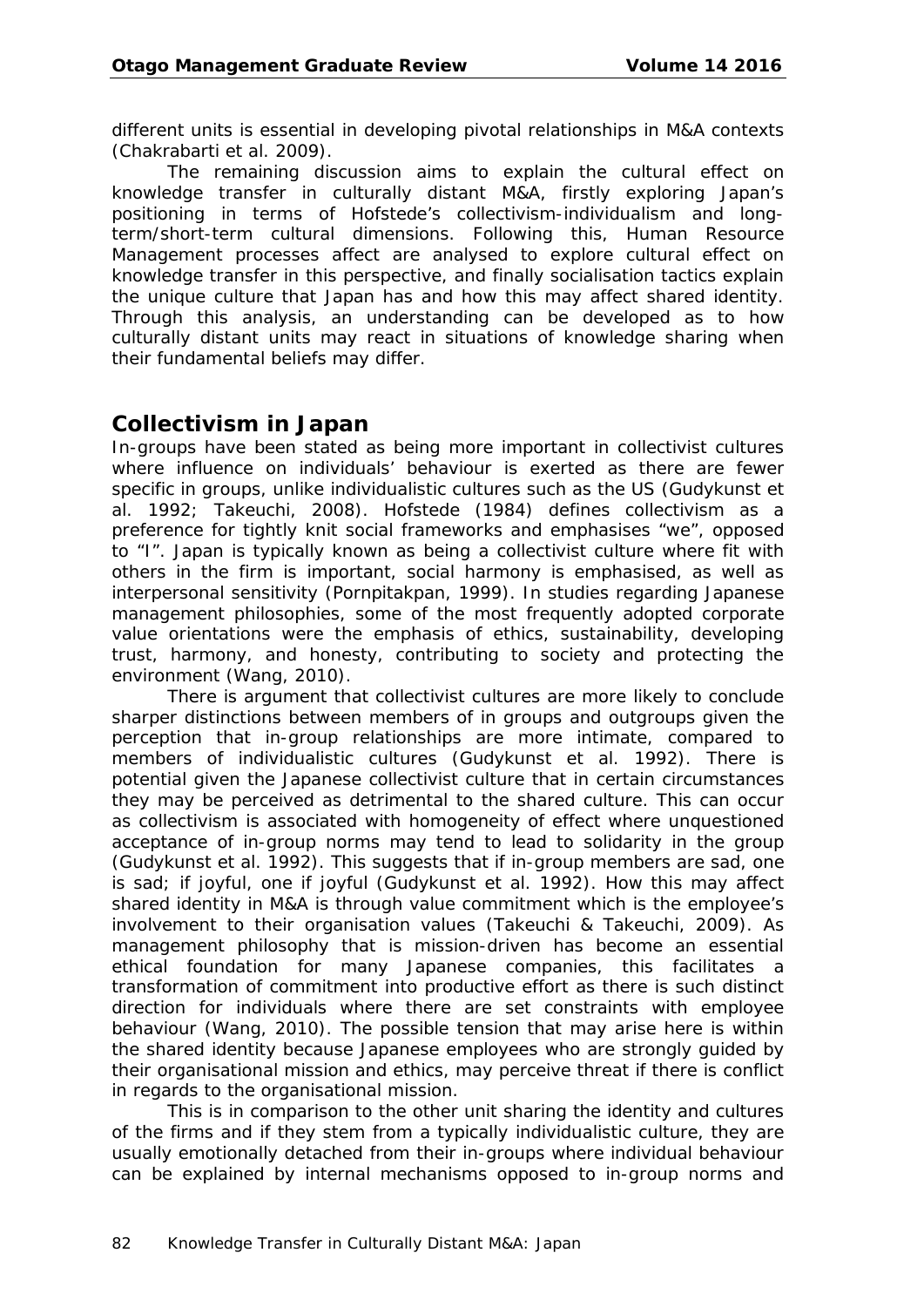different units is essential in developing pivotal relationships in M&A contexts (Chakrabarti et al. 2009).

The remaining discussion aims to explain the cultural effect on knowledge transfer in culturally distant M&A, firstly exploring Japan's positioning in terms of Hofstede's collectivism-individualism and longterm/short-term cultural dimensions. Following this, Human Resource Management processes affect are analysed to explore cultural effect on knowledge transfer in this perspective, and finally socialisation tactics explain the unique culture that Japan has and how this may affect shared identity. Through this analysis, an understanding can be developed as to how culturally distant units may react in situations of knowledge sharing when their fundamental beliefs may differ.

#### **Collectivism in Japan**

In-groups have been stated as being more important in collectivist cultures where influence on individuals' behaviour is exerted as there are fewer specific in groups, unlike individualistic cultures such as the US (Gudykunst et al. 1992; Takeuchi, 2008). Hofstede (1984) defines collectivism as a preference for tightly knit social frameworks and emphasises "we", opposed to "I". Japan is typically known as being a collectivist culture where fit with others in the firm is important, social harmony is emphasised, as well as interpersonal sensitivity (Pornpitakpan, 1999). In studies regarding Japanese management philosophies, some of the most frequently adopted corporate value orientations were the emphasis of ethics, sustainability, developing trust, harmony, and honesty, contributing to society and protecting the environment (Wang, 2010).

There is argument that collectivist cultures are more likely to conclude sharper distinctions between members of in groups and outgroups given the perception that in-group relationships are more intimate, compared to members of individualistic cultures (Gudykunst et al. 1992). There is potential given the Japanese collectivist culture that in certain circumstances they may be perceived as detrimental to the shared culture. This can occur as collectivism is associated with homogeneity of effect where unquestioned acceptance of in-group norms may tend to lead to solidarity in the group (Gudykunst et al. 1992). This suggests that if in-group members are sad, one is sad; if joyful, one if joyful (Gudykunst et al. 1992). How this may affect shared identity in M&A is through value commitment which is the employee's involvement to their organisation values (Takeuchi & Takeuchi, 2009). As management philosophy that is mission-driven has become an essential ethical foundation for many Japanese companies, this facilitates a transformation of commitment into productive effort as there is such distinct direction for individuals where there are set constraints with employee behaviour (Wang, 2010). The possible tension that may arise here is within the shared identity because Japanese employees who are strongly guided by their organisational mission and ethics, may perceive threat if there is conflict in regards to the organisational mission.

This is in comparison to the other unit sharing the identity and cultures of the firms and if they stem from a typically individualistic culture, they are usually emotionally detached from their in-groups where individual behaviour can be explained by internal mechanisms opposed to in-group norms and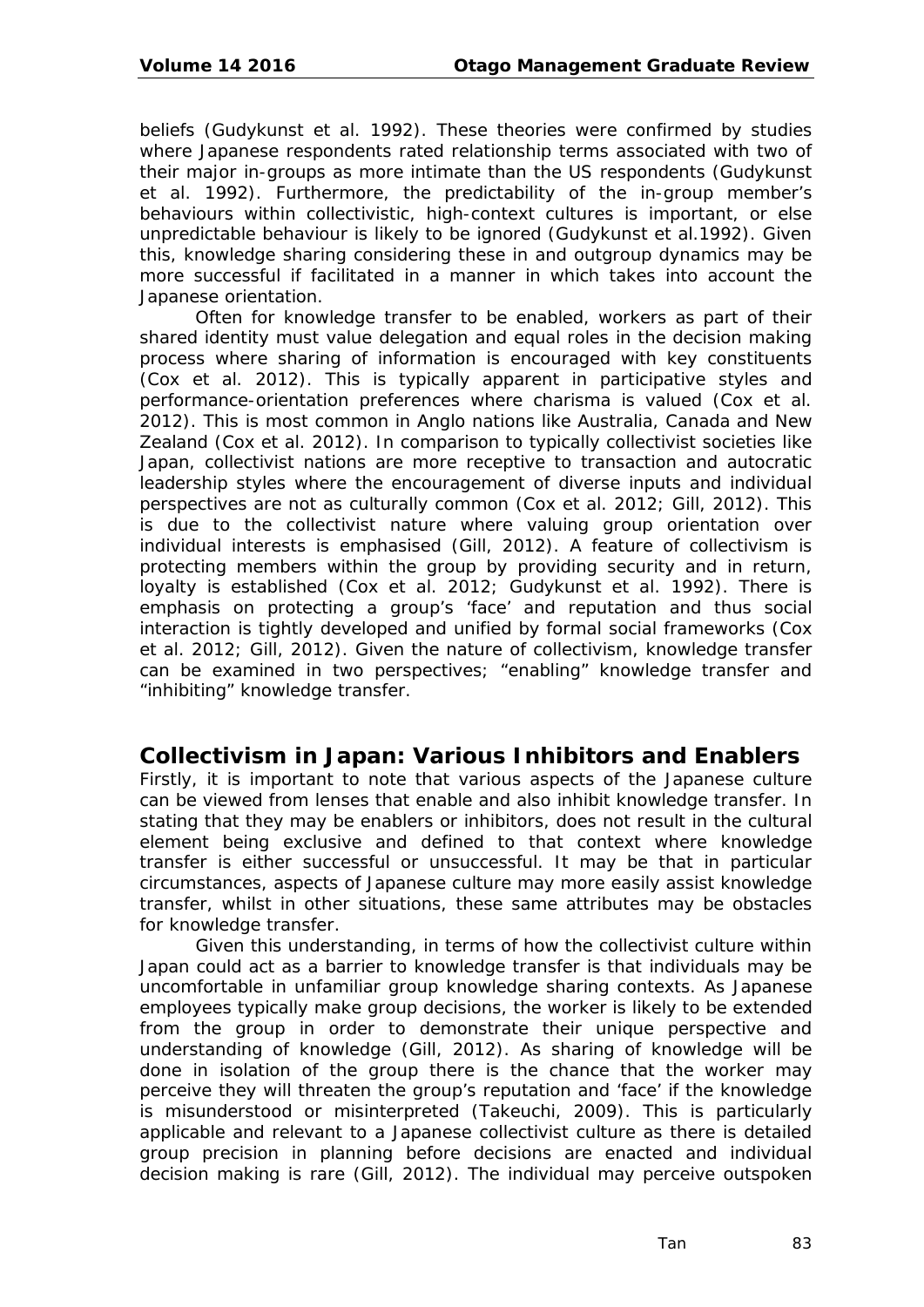beliefs (Gudykunst et al. 1992). These theories were confirmed by studies where Japanese respondents rated relationship terms associated with two of their major in-groups as more intimate than the US respondents (Gudykunst et al. 1992). Furthermore, the predictability of the in-group member's behaviours within collectivistic, high-context cultures is important, or else unpredictable behaviour is likely to be ignored (Gudykunst et al.1992). Given this, knowledge sharing considering these in and outgroup dynamics may be more successful if facilitated in a manner in which takes into account the Japanese orientation.

Often for knowledge transfer to be enabled, workers as part of their shared identity must value delegation and equal roles in the decision making process where sharing of information is encouraged with key constituents (Cox et al. 2012). This is typically apparent in participative styles and performance-orientation preferences where charisma is valued (Cox et al. 2012). This is most common in Anglo nations like Australia, Canada and New Zealand (Cox et al. 2012). In comparison to typically collectivist societies like Japan, collectivist nations are more receptive to transaction and autocratic leadership styles where the encouragement of diverse inputs and individual perspectives are not as culturally common (Cox et al. 2012; Gill, 2012). This is due to the collectivist nature where valuing group orientation over individual interests is emphasised (Gill, 2012). A feature of collectivism is protecting members within the group by providing security and in return, loyalty is established (Cox et al. 2012; Gudykunst et al. 1992). There is emphasis on protecting a group's 'face' and reputation and thus social interaction is tightly developed and unified by formal social frameworks (Cox et al. 2012; Gill, 2012). Given the nature of collectivism, knowledge transfer can be examined in two perspectives; "enabling" knowledge transfer and "inhibiting" knowledge transfer.

## **Collectivism in Japan: Various Inhibitors and Enablers**

Firstly, it is important to note that various aspects of the Japanese culture can be viewed from lenses that enable and also inhibit knowledge transfer. In stating that they may be enablers or inhibitors, does not result in the cultural element being exclusive and defined to that context where knowledge transfer is either successful or unsuccessful. It may be that in particular circumstances, aspects of Japanese culture may more easily assist knowledge transfer, whilst in other situations, these same attributes may be obstacles for knowledge transfer.

Given this understanding, in terms of how the collectivist culture within Japan could act as a barrier to knowledge transfer is that individuals may be uncomfortable in unfamiliar group knowledge sharing contexts. As Japanese employees typically make group decisions, the worker is likely to be extended from the group in order to demonstrate their unique perspective and understanding of knowledge (Gill, 2012). As sharing of knowledge will be done in isolation of the group there is the chance that the worker may perceive they will threaten the group's reputation and 'face' if the knowledge is misunderstood or misinterpreted (Takeuchi, 2009). This is particularly applicable and relevant to a Japanese collectivist culture as there is detailed group precision in planning before decisions are enacted and individual decision making is rare (Gill, 2012). The individual may perceive outspoken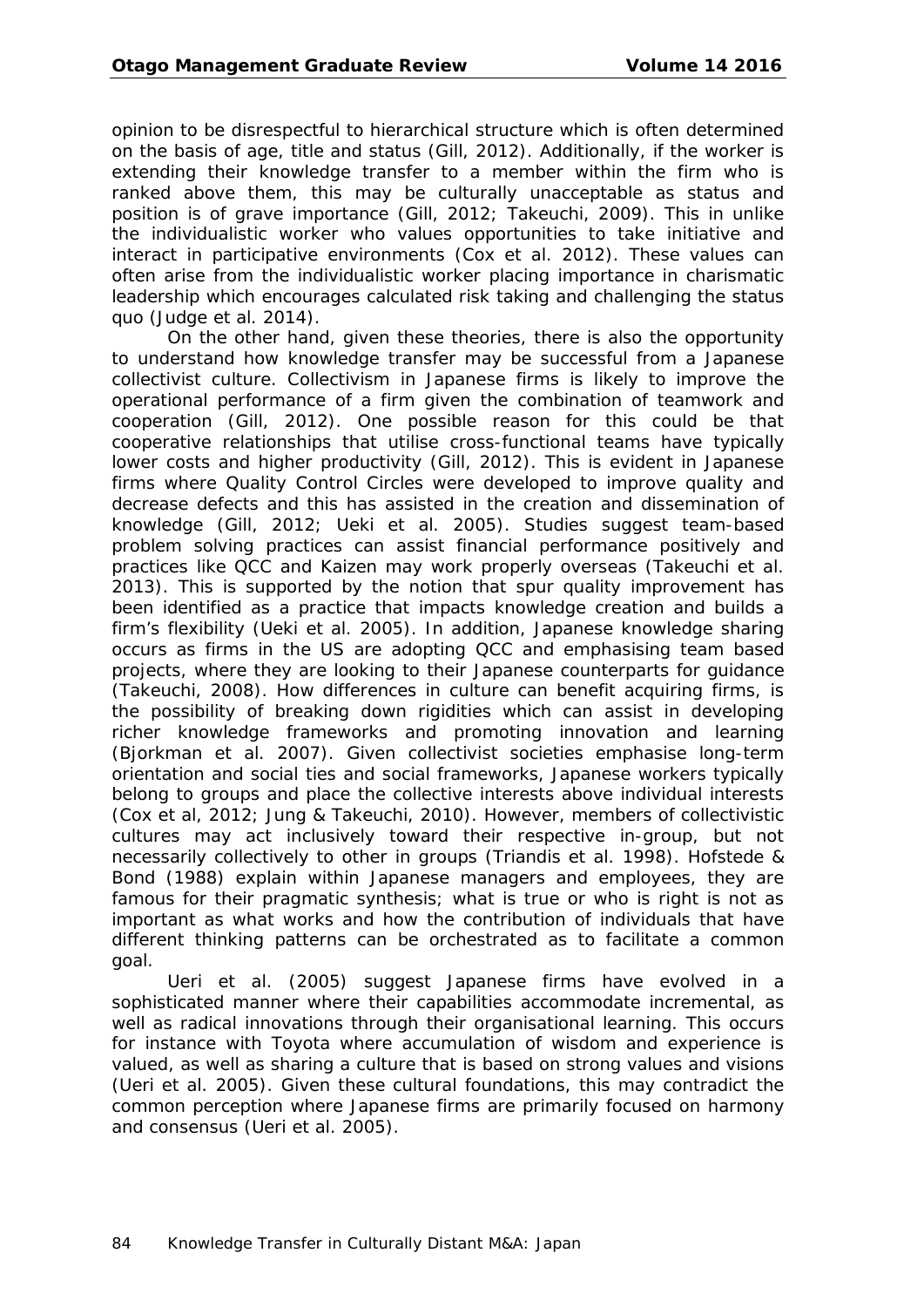opinion to be disrespectful to hierarchical structure which is often determined on the basis of age, title and status (Gill, 2012). Additionally, if the worker is extending their knowledge transfer to a member within the firm who is ranked above them, this may be culturally unacceptable as status and position is of grave importance (Gill, 2012; Takeuchi, 2009). This in unlike the individualistic worker who values opportunities to take initiative and interact in participative environments (Cox et al. 2012). These values can often arise from the individualistic worker placing importance in charismatic leadership which encourages calculated risk taking and challenging the status quo (Judge et al. 2014).

On the other hand, given these theories, there is also the opportunity to understand how knowledge transfer may be successful from a Japanese collectivist culture. Collectivism in Japanese firms is likely to improve the operational performance of a firm given the combination of teamwork and cooperation (Gill, 2012). One possible reason for this could be that cooperative relationships that utilise cross-functional teams have typically lower costs and higher productivity (Gill, 2012). This is evident in Japanese firms where Quality Control Circles were developed to improve quality and decrease defects and this has assisted in the creation and dissemination of knowledge (Gill, 2012; Ueki et al. 2005). Studies suggest team-based problem solving practices can assist financial performance positively and practices like QCC and Kaizen may work properly overseas (Takeuchi et al. 2013). This is supported by the notion that spur quality improvement has been identified as a practice that impacts knowledge creation and builds a firm's flexibility (Ueki et al. 2005). In addition, Japanese knowledge sharing occurs as firms in the US are adopting QCC and emphasising team based projects, where they are looking to their Japanese counterparts for guidance (Takeuchi, 2008). How differences in culture can benefit acquiring firms, is the possibility of breaking down rigidities which can assist in developing richer knowledge frameworks and promoting innovation and learning (Bjorkman et al. 2007). Given collectivist societies emphasise long-term orientation and social ties and social frameworks, Japanese workers typically belong to groups and place the collective interests above individual interests (Cox et al, 2012; Jung & Takeuchi, 2010). However, members of collectivistic cultures may act inclusively toward their respective in-group, but not necessarily collectively to other in groups (Triandis et al. 1998). Hofstede & Bond (1988) explain within Japanese managers and employees, they are famous for their pragmatic synthesis; what is true or who is right is not as important as what works and how the contribution of individuals that have different thinking patterns can be orchestrated as to facilitate a common goal.

Ueri et al. (2005) suggest Japanese firms have evolved in a sophisticated manner where their capabilities accommodate incremental, as well as radical innovations through their organisational learning. This occurs for instance with Toyota where accumulation of wisdom and experience is valued, as well as sharing a culture that is based on strong values and visions (Ueri et al. 2005). Given these cultural foundations, this may contradict the common perception where Japanese firms are primarily focused on harmony and consensus (Ueri et al. 2005).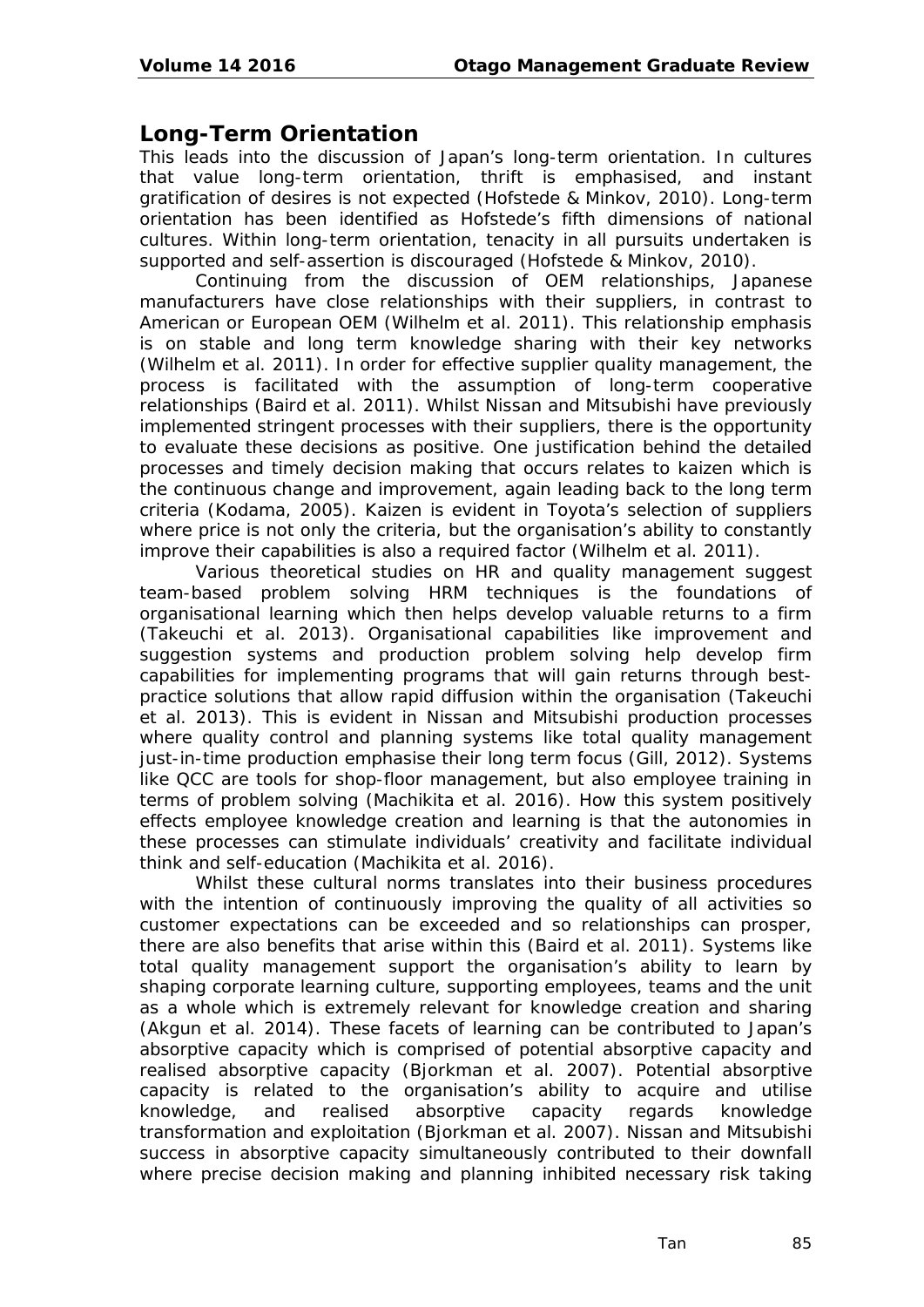## **Long-Term Orientation**

This leads into the discussion of Japan's long-term orientation. In cultures that value long-term orientation, thrift is emphasised, and instant gratification of desires is not expected (Hofstede & Minkov, 2010). Long-term orientation has been identified as Hofstede's fifth dimensions of national cultures. Within long-term orientation, tenacity in all pursuits undertaken is supported and self-assertion is discouraged (Hofstede & Minkov, 2010).

Continuing from the discussion of OEM relationships, Japanese manufacturers have close relationships with their suppliers, in contrast to American or European OEM (Wilhelm et al. 2011). This relationship emphasis is on stable and long term knowledge sharing with their key networks (Wilhelm et al. 2011). In order for effective supplier quality management, the process is facilitated with the assumption of long-term cooperative relationships (Baird et al. 2011). Whilst Nissan and Mitsubishi have previously implemented stringent processes with their suppliers, there is the opportunity to evaluate these decisions as positive. One justification behind the detailed processes and timely decision making that occurs relates to kaizen which is the continuous change and improvement, again leading back to the long term criteria (Kodama, 2005). Kaizen is evident in Toyota's selection of suppliers where price is not only the criteria, but the organisation's ability to constantly improve their capabilities is also a required factor (Wilhelm et al. 2011).

Various theoretical studies on HR and quality management suggest team-based problem solving HRM techniques is the foundations of organisational learning which then helps develop valuable returns to a firm (Takeuchi et al. 2013). Organisational capabilities like improvement and suggestion systems and production problem solving help develop firm capabilities for implementing programs that will gain returns through bestpractice solutions that allow rapid diffusion within the organisation (Takeuchi et al. 2013). This is evident in Nissan and Mitsubishi production processes where quality control and planning systems like total quality management just-in-time production emphasise their long term focus (Gill, 2012). Systems like QCC are tools for shop-floor management, but also employee training in terms of problem solving (Machikita et al. 2016). How this system positively effects employee knowledge creation and learning is that the autonomies in these processes can stimulate individuals' creativity and facilitate individual think and self-education (Machikita et al. 2016).

Whilst these cultural norms translates into their business procedures with the intention of continuously improving the quality of all activities so customer expectations can be exceeded and so relationships can prosper, there are also benefits that arise within this (Baird et al. 2011). Systems like total quality management support the organisation's ability to learn by shaping corporate learning culture, supporting employees, teams and the unit as a whole which is extremely relevant for knowledge creation and sharing (Akgun et al. 2014). These facets of learning can be contributed to Japan's absorptive capacity which is comprised of potential absorptive capacity and realised absorptive capacity (Bjorkman et al. 2007). Potential absorptive capacity is related to the organisation's ability to acquire and utilise knowledge, and realised absorptive capacity regards knowledge transformation and exploitation (Bjorkman et al. 2007). Nissan and Mitsubishi success in absorptive capacity simultaneously contributed to their downfall where precise decision making and planning inhibited necessary risk taking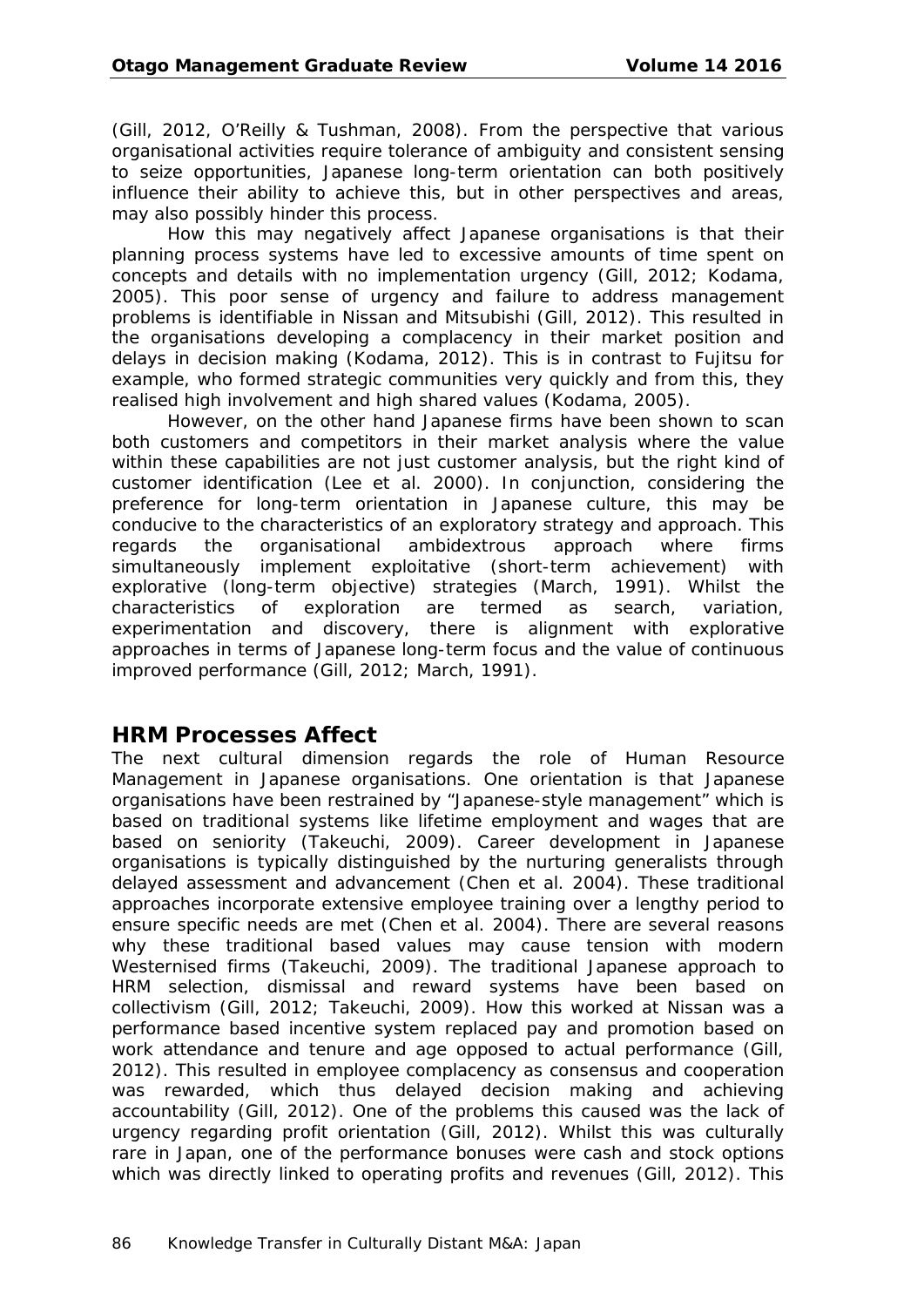(Gill, 2012, O'Reilly & Tushman, 2008). From the perspective that various organisational activities require tolerance of ambiguity and consistent sensing to seize opportunities, Japanese long-term orientation can both positively influence their ability to achieve this, but in other perspectives and areas, may also possibly hinder this process.

How this may negatively affect Japanese organisations is that their planning process systems have led to excessive amounts of time spent on concepts and details with no implementation urgency (Gill, 2012; Kodama, 2005). This poor sense of urgency and failure to address management problems is identifiable in Nissan and Mitsubishi (Gill, 2012). This resulted in the organisations developing a complacency in their market position and delays in decision making (Kodama, 2012). This is in contrast to Fujitsu for example, who formed strategic communities very quickly and from this, they realised high involvement and high shared values (Kodama, 2005).

However, on the other hand Japanese firms have been shown to scan both customers and competitors in their market analysis where the value within these capabilities are not just customer analysis, but the right kind of customer identification (Lee et al. 2000). In conjunction, considering the preference for long-term orientation in Japanese culture, this may be conducive to the characteristics of an exploratory strategy and approach. This regards the organisational ambidextrous approach where firms simultaneously implement exploitative (short-term achievement) with explorative (long-term objective) strategies (March, 1991). Whilst the characteristics of exploration are termed as search, variation, experimentation and discovery, there is alignment with explorative approaches in terms of Japanese long-term focus and the value of continuous improved performance (Gill, 2012; March, 1991).

#### **HRM Processes Affect**

The next cultural dimension regards the role of Human Resource Management in Japanese organisations. One orientation is that Japanese organisations have been restrained by "Japanese-style management" which is based on traditional systems like lifetime employment and wages that are based on seniority (Takeuchi, 2009). Career development in Japanese organisations is typically distinguished by the nurturing generalists through delayed assessment and advancement (Chen et al. 2004). These traditional approaches incorporate extensive employee training over a lengthy period to ensure specific needs are met (Chen et al. 2004). There are several reasons why these traditional based values may cause tension with modern Westernised firms (Takeuchi, 2009). The traditional Japanese approach to HRM selection, dismissal and reward systems have been based on collectivism (Gill, 2012; Takeuchi, 2009). How this worked at Nissan was a performance based incentive system replaced pay and promotion based on work attendance and tenure and age opposed to actual performance (Gill, 2012). This resulted in employee complacency as consensus and cooperation was rewarded, which thus delayed decision making and achieving accountability (Gill, 2012). One of the problems this caused was the lack of urgency regarding profit orientation (Gill, 2012). Whilst this was culturally rare in Japan, one of the performance bonuses were cash and stock options which was directly linked to operating profits and revenues (Gill, 2012). This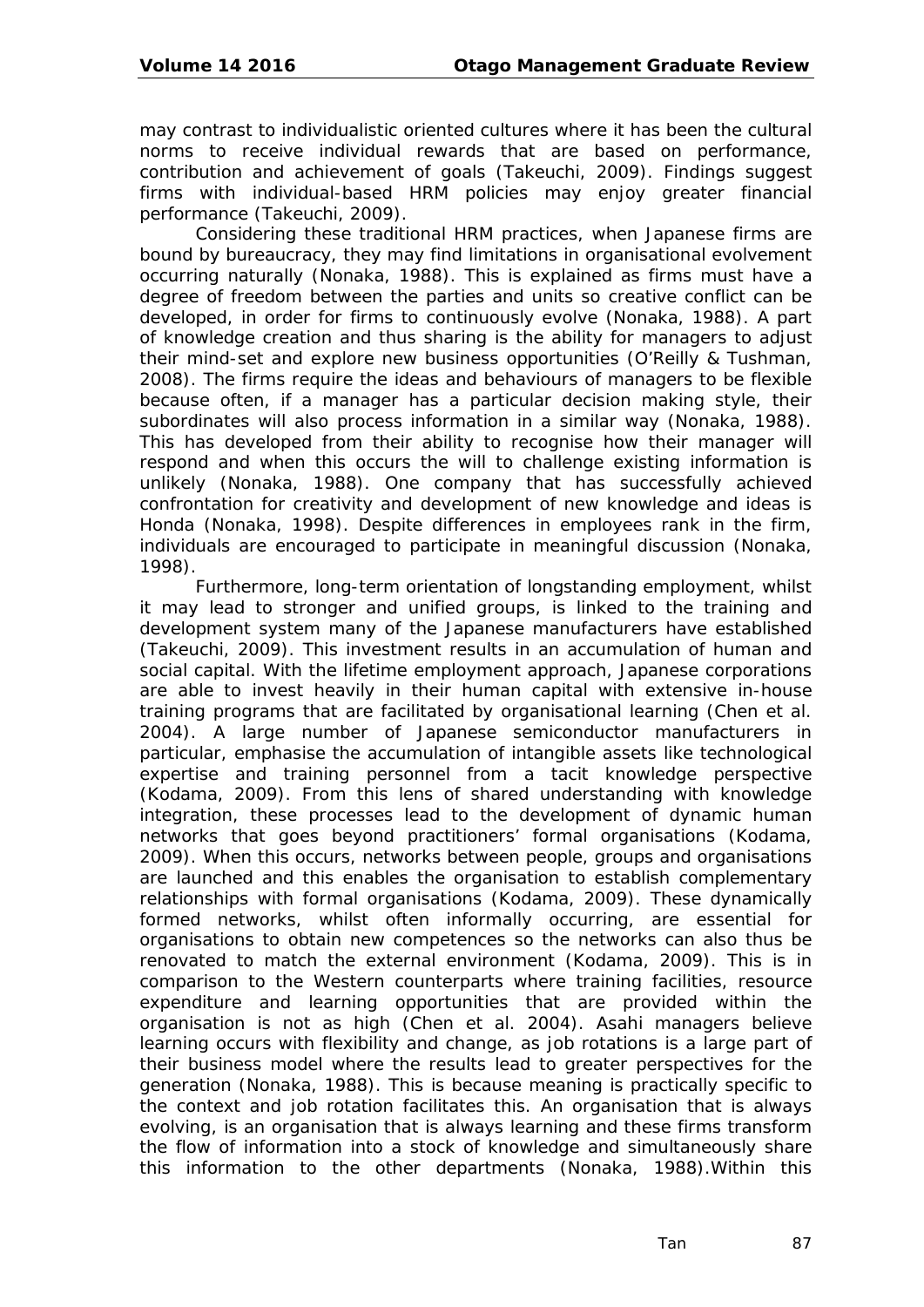may contrast to individualistic oriented cultures where it has been the cultural norms to receive individual rewards that are based on performance, contribution and achievement of goals (Takeuchi, 2009). Findings suggest firms with individual-based HRM policies may enjoy greater financial performance (Takeuchi, 2009).

Considering these traditional HRM practices, when Japanese firms are bound by bureaucracy, they may find limitations in organisational evolvement occurring naturally (Nonaka, 1988). This is explained as firms must have a degree of freedom between the parties and units so creative conflict can be developed, in order for firms to continuously evolve (Nonaka, 1988). A part of knowledge creation and thus sharing is the ability for managers to adjust their mind-set and explore new business opportunities (O'Reilly & Tushman, 2008). The firms require the ideas and behaviours of managers to be flexible because often, if a manager has a particular decision making style, their subordinates will also process information in a similar way (Nonaka, 1988). This has developed from their ability to recognise how their manager will respond and when this occurs the will to challenge existing information is unlikely (Nonaka, 1988). One company that has successfully achieved confrontation for creativity and development of new knowledge and ideas is Honda (Nonaka, 1998). Despite differences in employees rank in the firm, individuals are encouraged to participate in meaningful discussion (Nonaka, 1998).

Furthermore, long-term orientation of longstanding employment, whilst it may lead to stronger and unified groups, is linked to the training and development system many of the Japanese manufacturers have established (Takeuchi, 2009). This investment results in an accumulation of human and social capital. With the lifetime employment approach, Japanese corporations are able to invest heavily in their human capital with extensive in-house training programs that are facilitated by organisational learning (Chen et al. 2004). A large number of Japanese semiconductor manufacturers in particular, emphasise the accumulation of intangible assets like technological expertise and training personnel from a tacit knowledge perspective (Kodama, 2009). From this lens of shared understanding with knowledge integration, these processes lead to the development of dynamic human networks that goes beyond practitioners' formal organisations (Kodama, 2009). When this occurs, networks between people, groups and organisations are launched and this enables the organisation to establish complementary relationships with formal organisations (Kodama, 2009). These dynamically formed networks, whilst often informally occurring, are essential for organisations to obtain new competences so the networks can also thus be renovated to match the external environment (Kodama, 2009). This is in comparison to the Western counterparts where training facilities, resource expenditure and learning opportunities that are provided within the organisation is not as high (Chen et al. 2004). Asahi managers believe learning occurs with flexibility and change, as job rotations is a large part of their business model where the results lead to greater perspectives for the generation (Nonaka, 1988). This is because meaning is practically specific to the context and job rotation facilitates this. An organisation that is always evolving, is an organisation that is always learning and these firms transform the flow of information into a stock of knowledge and simultaneously share this information to the other departments (Nonaka, 1988).Within this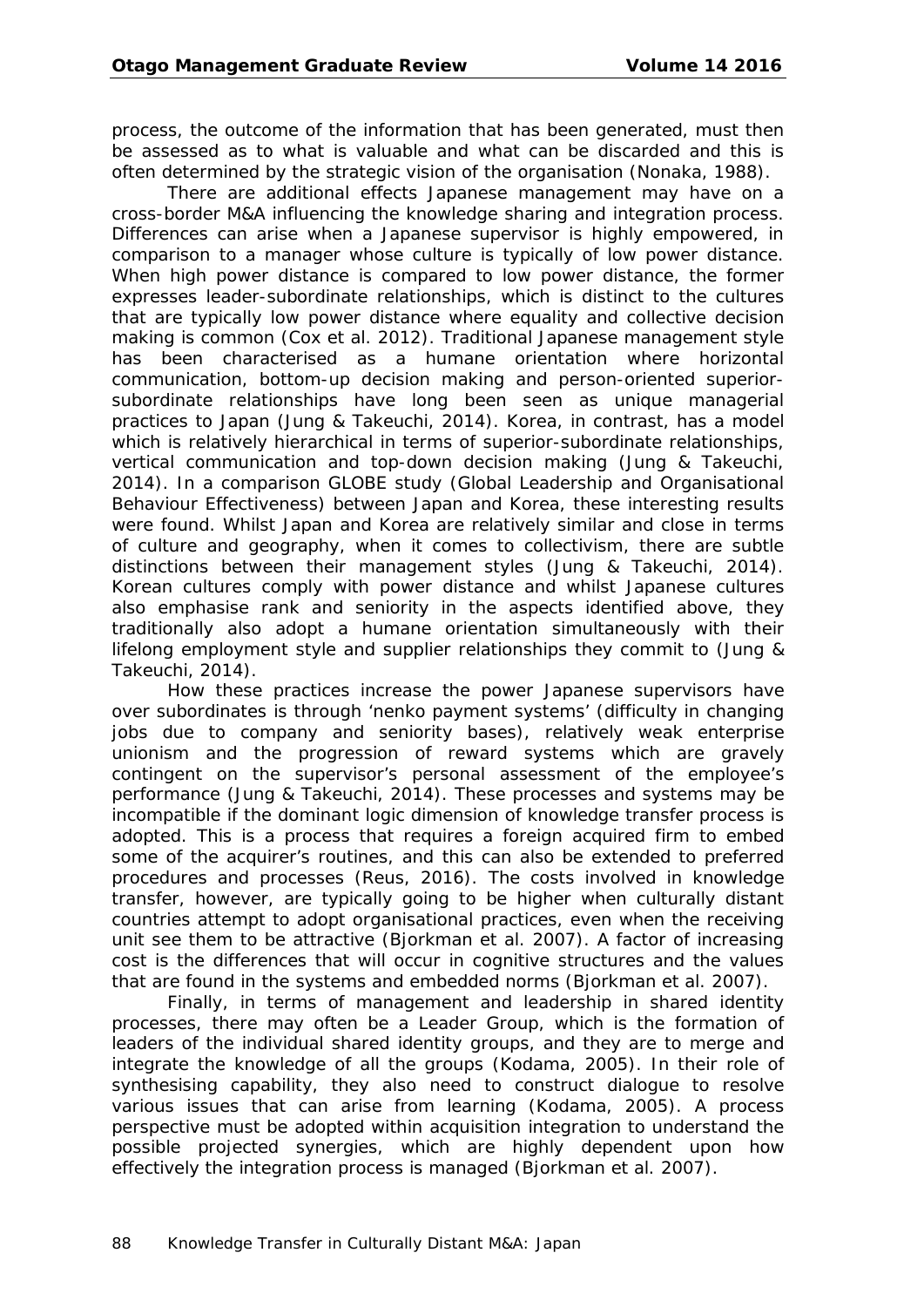process, the outcome of the information that has been generated, must then be assessed as to what is valuable and what can be discarded and this is often determined by the strategic vision of the organisation (Nonaka, 1988).

There are additional effects Japanese management may have on a cross-border M&A influencing the knowledge sharing and integration process. Differences can arise when a Japanese supervisor is highly empowered, in comparison to a manager whose culture is typically of low power distance. When high power distance is compared to low power distance, the former expresses leader-subordinate relationships, which is distinct to the cultures that are typically low power distance where equality and collective decision making is common (Cox et al. 2012). Traditional Japanese management style has been characterised as a humane orientation where horizontal communication, bottom-up decision making and person-oriented superiorsubordinate relationships have long been seen as unique managerial practices to Japan (Jung & Takeuchi, 2014). Korea, in contrast, has a model which is relatively hierarchical in terms of superior-subordinate relationships, vertical communication and top-down decision making (Jung & Takeuchi, 2014). In a comparison GLOBE study (Global Leadership and Organisational Behaviour Effectiveness) between Japan and Korea, these interesting results were found. Whilst Japan and Korea are relatively similar and close in terms of culture and geography, when it comes to collectivism, there are subtle distinctions between their management styles (Jung & Takeuchi, 2014). Korean cultures comply with power distance and whilst Japanese cultures also emphasise rank and seniority in the aspects identified above, they traditionally also adopt a humane orientation simultaneously with their lifelong employment style and supplier relationships they commit to (Jung & Takeuchi, 2014).

How these practices increase the power Japanese supervisors have over subordinates is through 'nenko payment systems' (difficulty in changing jobs due to company and seniority bases), relatively weak enterprise unionism and the progression of reward systems which are gravely contingent on the supervisor's personal assessment of the employee's performance (Jung & Takeuchi, 2014). These processes and systems may be incompatible if the dominant logic dimension of knowledge transfer process is adopted. This is a process that requires a foreign acquired firm to embed some of the acquirer's routines, and this can also be extended to preferred procedures and processes (Reus, 2016). The costs involved in knowledge transfer, however, are typically going to be higher when culturally distant countries attempt to adopt organisational practices, even when the receiving unit see them to be attractive (Bjorkman et al. 2007). A factor of increasing cost is the differences that will occur in cognitive structures and the values that are found in the systems and embedded norms (Bjorkman et al. 2007).

Finally, in terms of management and leadership in shared identity processes, there may often be a Leader Group, which is the formation of leaders of the individual shared identity groups, and they are to merge and integrate the knowledge of all the groups (Kodama, 2005). In their role of synthesising capability, they also need to construct dialogue to resolve various issues that can arise from learning (Kodama, 2005). A process perspective must be adopted within acquisition integration to understand the possible projected synergies, which are highly dependent upon how effectively the integration process is managed (Bjorkman et al. 2007).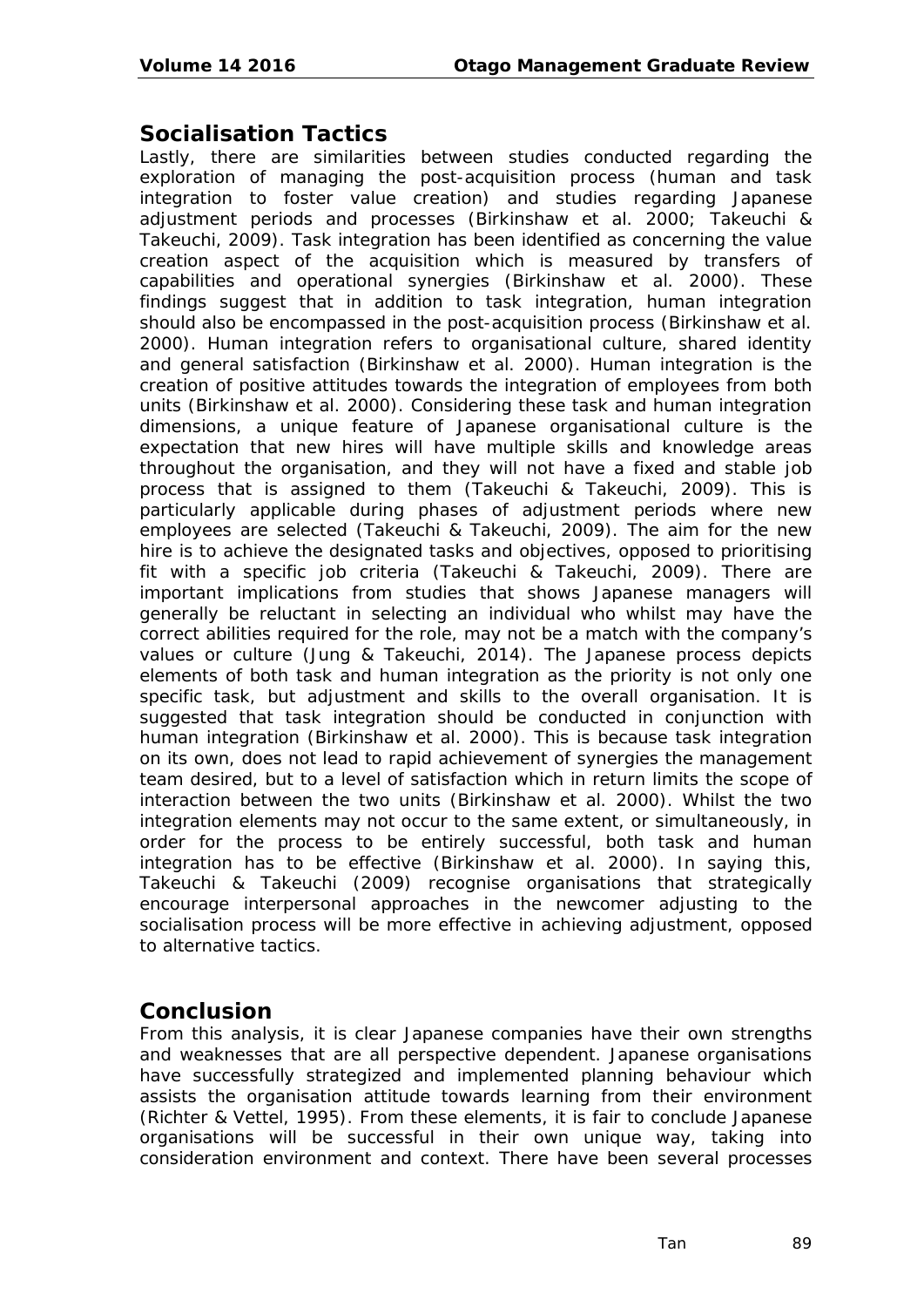#### **Socialisation Tactics**

Lastly, there are similarities between studies conducted regarding the exploration of managing the post-acquisition process (human and task integration to foster value creation) and studies regarding Japanese adjustment periods and processes (Birkinshaw et al. 2000; Takeuchi & Takeuchi, 2009). Task integration has been identified as concerning the value creation aspect of the acquisition which is measured by transfers of capabilities and operational synergies (Birkinshaw et al. 2000). These findings suggest that in addition to task integration, human integration should also be encompassed in the post-acquisition process (Birkinshaw et al. 2000). Human integration refers to organisational culture, shared identity and general satisfaction (Birkinshaw et al. 2000). Human integration is the creation of positive attitudes towards the integration of employees from both units (Birkinshaw et al. 2000). Considering these task and human integration dimensions, a unique feature of Japanese organisational culture is the expectation that new hires will have multiple skills and knowledge areas throughout the organisation, and they will not have a fixed and stable job process that is assigned to them (Takeuchi & Takeuchi, 2009). This is particularly applicable during phases of adjustment periods where new employees are selected (Takeuchi & Takeuchi, 2009). The aim for the new hire is to achieve the designated tasks and objectives, opposed to prioritising fit with a specific job criteria (Takeuchi & Takeuchi, 2009). There are important implications from studies that shows Japanese managers will generally be reluctant in selecting an individual who whilst may have the correct abilities required for the role, may not be a match with the company's values or culture (Jung & Takeuchi, 2014). The Japanese process depicts elements of both task and human integration as the priority is not only one specific task, but adjustment and skills to the overall organisation. It is suggested that task integration should be conducted in conjunction with human integration (Birkinshaw et al. 2000). This is because task integration on its own, does not lead to rapid achievement of synergies the management team desired, but to a level of satisfaction which in return limits the scope of interaction between the two units (Birkinshaw et al. 2000). Whilst the two integration elements may not occur to the same extent, or simultaneously, in order for the process to be entirely successful, both task and human integration has to be effective (Birkinshaw et al. 2000). In saying this, Takeuchi & Takeuchi (2009) recognise organisations that strategically encourage interpersonal approaches in the newcomer adjusting to the socialisation process will be more effective in achieving adjustment, opposed to alternative tactics.

## **Conclusion**

From this analysis, it is clear Japanese companies have their own strengths and weaknesses that are all perspective dependent. Japanese organisations have successfully strategized and implemented planning behaviour which assists the organisation attitude towards learning from their environment (Richter & Vettel, 1995). From these elements, it is fair to conclude Japanese organisations will be successful in their own unique way, taking into consideration environment and context. There have been several processes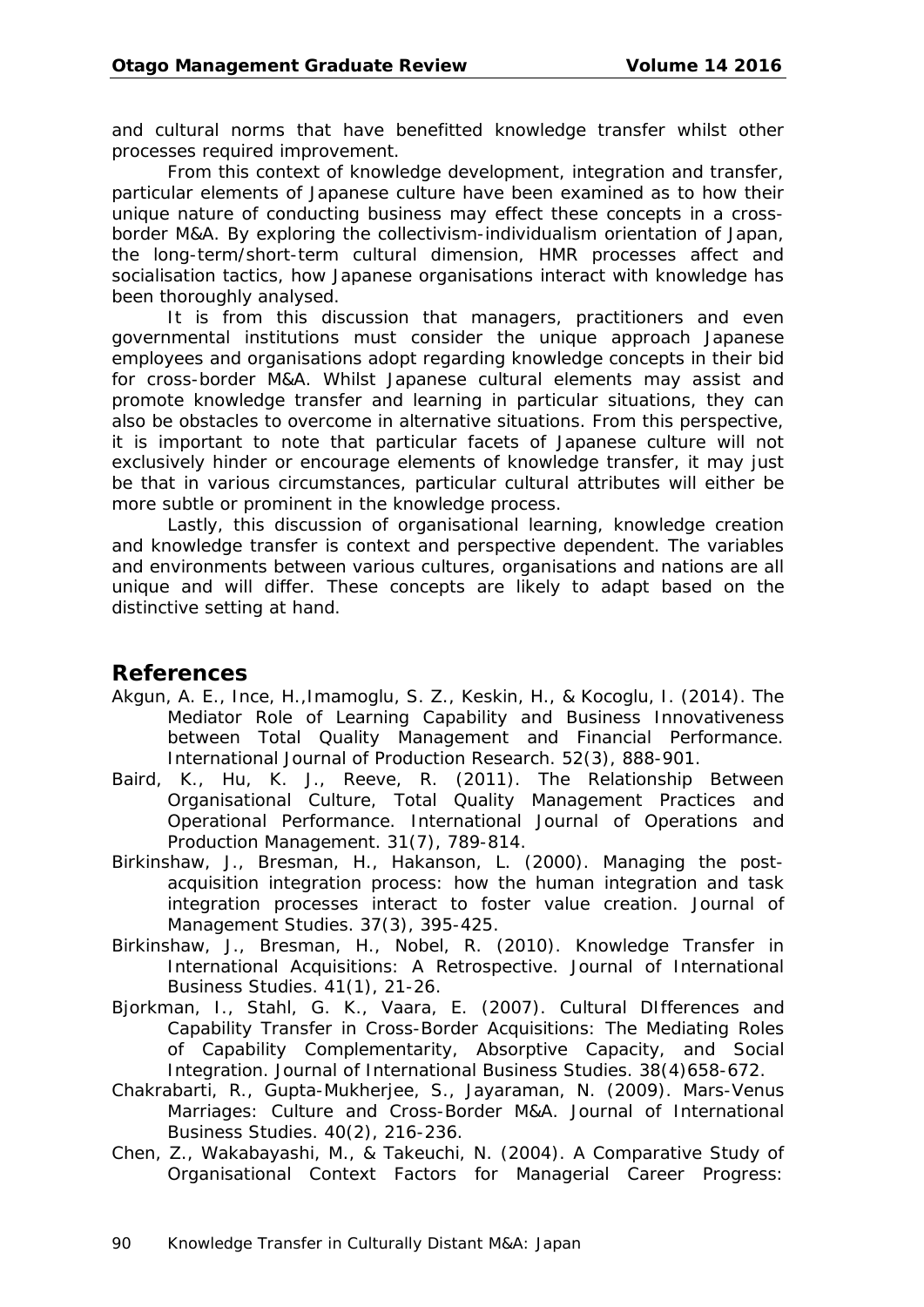and cultural norms that have benefitted knowledge transfer whilst other processes required improvement.

From this context of knowledge development, integration and transfer, particular elements of Japanese culture have been examined as to how their unique nature of conducting business may effect these concepts in a crossborder M&A. By exploring the collectivism-individualism orientation of Japan, the long-term/short-term cultural dimension, HMR processes affect and socialisation tactics, how Japanese organisations interact with knowledge has been thoroughly analysed.

It is from this discussion that managers, practitioners and even governmental institutions must consider the unique approach Japanese employees and organisations adopt regarding knowledge concepts in their bid for cross-border M&A. Whilst Japanese cultural elements may assist and promote knowledge transfer and learning in particular situations, they can also be obstacles to overcome in alternative situations. From this perspective, it is important to note that particular facets of Japanese culture will not exclusively hinder or encourage elements of knowledge transfer, it may just be that in various circumstances, particular cultural attributes will either be more subtle or prominent in the knowledge process.

Lastly, this discussion of organisational learning, knowledge creation and knowledge transfer is context and perspective dependent. The variables and environments between various cultures, organisations and nations are all unique and will differ. These concepts are likely to adapt based on the distinctive setting at hand.

#### **References**

- Akgun, A. E., Ince, H.,Imamoglu, S. Z., Keskin, H., & Kocoglu, I. (2014). The Mediator Role of Learning Capability and Business Innovativeness between Total Quality Management and Financial Performance. *International Journal of Production Research*. 52(3), 888-901.
- Baird, K., Hu, K. J., Reeve, R. (2011). The Relationship Between Organisational Culture, Total Quality Management Practices and Operational Performance*. International Journal of Operations and Production Management.* 31(7), 789-814.
- Birkinshaw, J., Bresman, H., Hakanson, L. (2000). Managing the postacquisition integration process: how the human integration and task integration processes interact to foster value creation. *Journal of Management Studies*. 37(3), 395-425.
- Birkinshaw, J., Bresman, H., Nobel, R. (2010). Knowledge Transfer in International Acquisitions: A Retrospective. *Journal of International Business Studies*. 41(1), 21-26.
- Bjorkman, I., Stahl, G. K., Vaara, E. (2007). Cultural DIfferences and Capability Transfer in Cross-Border Acquisitions: The Mediating Roles of Capability Complementarity, Absorptive Capacity, and Social Integration. *Journal of International Business Studies*. 38(4)658-672.
- Chakrabarti, R., Gupta-Mukherjee, S., Jayaraman, N. (2009). Mars-Venus Marriages: Culture and Cross-Border M&A. *Journal of International Business Studies*. 40(2), 216-236.
- Chen, Z., Wakabayashi, M., & Takeuchi, N. (2004). A Comparative Study of Organisational Context Factors for Managerial Career Progress: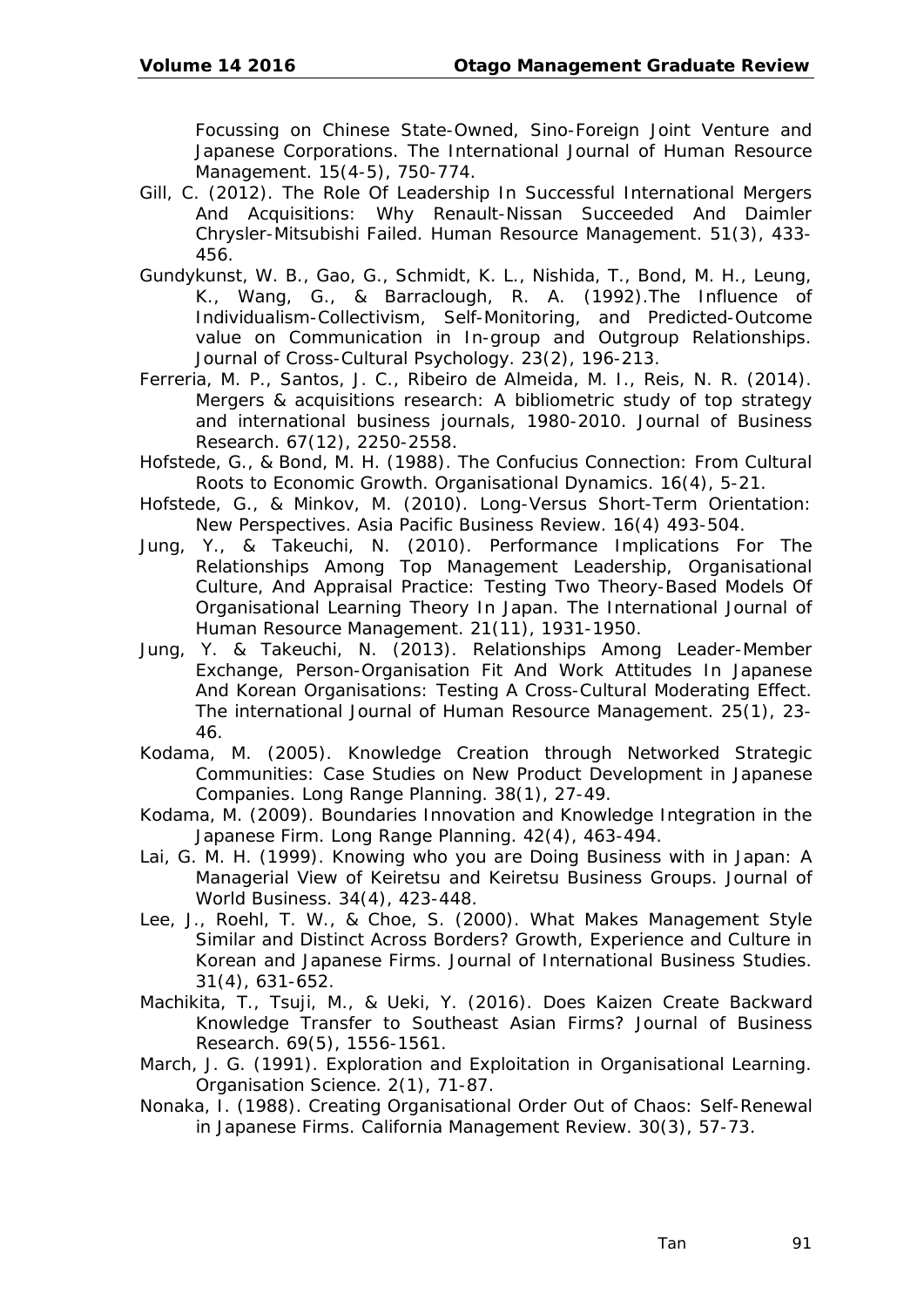Focussing on Chinese State-Owned, Sino-Foreign Joint Venture and Japanese Corporations. *The International Journal of Human Resource Management*. 15(4-5), 750-774.

- Gill, C. (2012). The Role Of Leadership In Successful International Mergers And Acquisitions: Why Renault-Nissan Succeeded And Daimler Chrysler-Mitsubishi Failed. *Human Resource Management.* 51(3), 433- 456.
- Gundykunst, W. B., Gao, G., Schmidt, K. L., Nishida, T., Bond, M. H., Leung, K., Wang, G., & Barraclough, R. A. (1992).The Influence of Individualism-Collectivism, Self-Monitoring, and Predicted-Outcome value on Communication in In-group and Outgroup Relationships. *Journal of Cross-Cultural Psychology.* 23(2), 196-213.
- Ferreria, M. P., Santos, J. C., Ribeiro de Almeida, M. I., Reis, N. R. (2014). Mergers & acquisitions research: A bibliometric study of top strategy and international business journals, 1980-2010. *Journal of Business Research*. 67(12), 2250-2558.
- Hofstede, G., & Bond, M. H. (1988). The Confucius Connection: From Cultural Roots to Economic Growth. *Organisational Dynamics*. 16(4), 5-21.
- Hofstede, G., & Minkov, M. (2010). Long-Versus Short-Term Orientation: New Perspectives. *Asia Pacific Business Review*. 16(4) 493-504.
- Jung, Y., & Takeuchi, N. (2010). Performance Implications For The Relationships Among Top Management Leadership, Organisational Culture, And Appraisal Practice: Testing Two Theory-Based Models Of Organisational Learning Theory In Japan. *The International Journal of Human Resource Management.* 21(11), 1931-1950.
- Jung, Y. & Takeuchi, N. (2013). Relationships Among Leader-Member Exchange, Person-Organisation Fit And Work Attitudes In Japanese And Korean Organisations: Testing A Cross-Cultural Moderating Effect. *The international Journal of Human Resource Management.* 25(1), 23- 46.
- Kodama, M. (2005). Knowledge Creation through Networked Strategic Communities: Case Studies on New Product Development in Japanese Companies. *Long Range Planning*. 38(1), 27-49.
- Kodama, M. (2009). Boundaries Innovation and Knowledge Integration in the Japanese Firm. *Long Range Planning.* 42(4), 463-494.
- Lai, G. M. H. (1999). Knowing who you are Doing Business with in Japan: A Managerial View of Keiretsu and Keiretsu Business Groups. *Journal of World Business.* 34(4), 423-448.
- Lee, J., Roehl, T. W., & Choe, S. (2000). What Makes Management Style Similar and Distinct Across Borders? Growth, Experience and Culture in Korean and Japanese Firms. *Journal of International Business Studies*. 31(4), 631-652.
- Machikita, T., Tsuji, M., & Ueki, Y. (2016). Does Kaizen Create Backward Knowledge Transfer to Southeast Asian Firms? *Journal of Business Research*. 69(5), 1556-1561.
- March, J. G. (1991). Exploration and Exploitation in Organisational Learning. *Organisation Science*. 2(1), 71-87.
- Nonaka, I. (1988). Creating Organisational Order Out of Chaos: Self-Renewal in Japanese Firms. *California Management Review.* 30(3), 57-73.